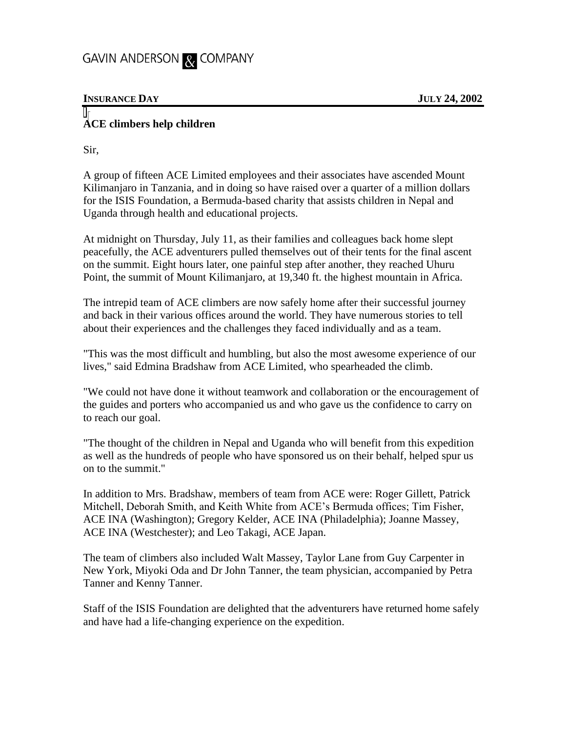## GAVIN ANDERSON & COMPANY

## **INSURANCE DAY JULY 24, 2002**

## **ACE climbers help children**

Sir,

A group of fifteen ACE Limited employees and their associates have ascended Mount Kilimanjaro in Tanzania, and in doing so have raised over a quarter of a million dollars for the ISIS Foundation, a Bermuda-based charity that assists children in Nepal and Uganda through health and educational projects.

At midnight on Thursday, July 11, as their families and colleagues back home slept peacefully, the ACE adventurers pulled themselves out of their tents for the final ascent on the summit. Eight hours later, one painful step after another, they reached Uhuru Point, the summit of Mount Kilimanjaro, at 19,340 ft. the highest mountain in Africa.

The intrepid team of ACE climbers are now safely home after their successful journey and back in their various offices around the world. They have numerous stories to tell about their experiences and the challenges they faced individually and as a team.

"This was the most difficult and humbling, but also the most awesome experience of our lives," said Edmina Bradshaw from ACE Limited, who spearheaded the climb.

"We could not have done it without teamwork and collaboration or the encouragement of the guides and porters who accompanied us and who gave us the confidence to carry on to reach our goal.

"The thought of the children in Nepal and Uganda who will benefit from this expedition as well as the hundreds of people who have sponsored us on their behalf, helped spur us on to the summit."

In addition to Mrs. Bradshaw, members of team from ACE were: Roger Gillett, Patrick Mitchell, Deborah Smith, and Keith White from ACE's Bermuda offices; Tim Fisher, ACE INA (Washington); Gregory Kelder, ACE INA (Philadelphia); Joanne Massey, ACE INA (Westchester); and Leo Takagi, ACE Japan.

The team of climbers also included Walt Massey, Taylor Lane from Guy Carpenter in New York, Miyoki Oda and Dr John Tanner, the team physician, accompanied by Petra Tanner and Kenny Tanner.

Staff of the ISIS Foundation are delighted that the adventurers have returned home safely and have had a life-changing experience on the expedition.